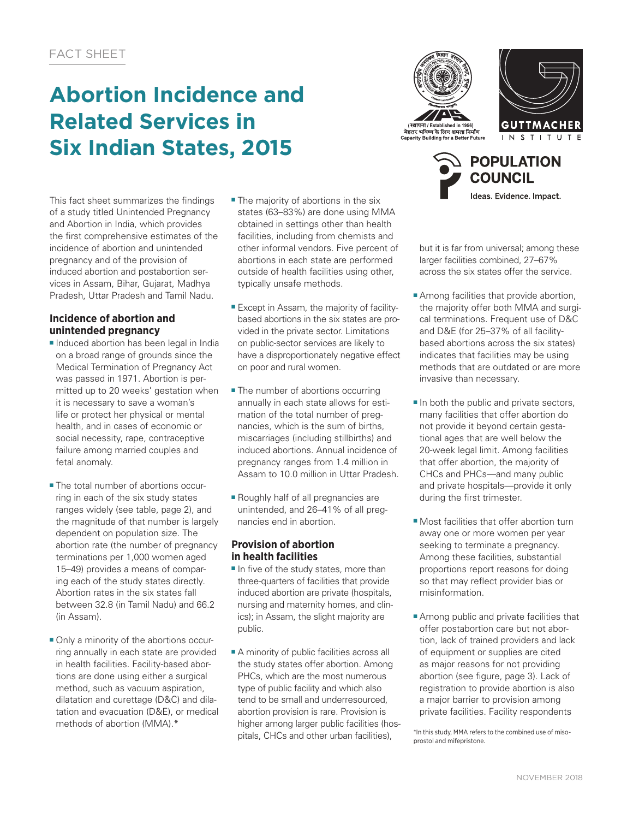# **Abortion Incidence and Related Services in Six Indian States, 2015**

This fact sheet summarizes the findings of a study titled Unintended Pregnancy and Abortion in India, which provides the first comprehensive estimates of the incidence of abortion and unintended pregnancy and of the provision of induced abortion and postabortion services in Assam, Bihar, Gujarat, Madhya Pradesh, Uttar Pradesh and Tamil Nadu.

## **Incidence of abortion and unintended pregnancy**

- Induced abortion has been legal in India on a broad range of grounds since the Medical Termination of Pregnancy Act was passed in 1971. Abortion is permitted up to 20 weeks' gestation when it is necessary to save a woman's life or protect her physical or mental health, and in cases of economic or social necessity, rape, contraceptive failure among married couples and fetal anomaly.
- The total number of abortions occurring in each of the six study states ranges widely (see table, page 2), and the magnitude of that number is largely dependent on population size. The abortion rate (the number of pregnancy terminations per 1,000 women aged 15–49) provides a means of comparing each of the study states directly. Abortion rates in the six states fall between 32.8 (in Tamil Nadu) and 66.2 (in Assam).
- Only a minority of the abortions occurring annually in each state are provided in health facilities. Facility-based abortions are done using either a surgical method, such as vacuum aspiration, dilatation and curettage (D&C) and dilatation and evacuation (D&E), or medical methods of abortion (MMA).\*
- The majority of abortions in the six states (63–83%) are done using MMA obtained in settings other than health facilities, including from chemists and other informal vendors. Five percent of abortions in each state are performed outside of health facilities using other, typically unsafe methods.
- Except in Assam, the majority of facilitybased abortions in the six states are provided in the private sector. Limitations on public-sector services are likely to have a disproportionately negative effect on poor and rural women.
- The number of abortions occurring annually in each state allows for estimation of the total number of pregnancies, which is the sum of births, miscarriages (including stillbirths) and induced abortions. Annual incidence of pregnancy ranges from 1.4 million in Assam to 10.0 million in Uttar Pradesh.
- Roughly half of all pregnancies are unintended, and 26–41% of all pregnancies end in abortion.

## **Provision of abortion in health facilities**

- In five of the study states, more than three-quarters of facilities that provide induced abortion are private (hospitals, nursing and maternity homes, and clinics); in Assam, the slight majority are public.
- A minority of public facilities across all the study states offer abortion. Among PHCs, which are the most numerous type of public facility and which also tend to be small and underresourced, abortion provision is rare. Provision is higher among larger public facilities (hospitals, CHCs and other urban facilities),







but it is far from universal; among these larger facilities combined, 27–67% across the six states offer the service.

- Among facilities that provide abortion, the majority offer both MMA and surgical terminations. Frequent use of D&C and D&E (for 25–37% of all facilitybased abortions across the six states) indicates that facilities may be using methods that are outdated or are more invasive than necessary.
- In both the public and private sectors, many facilities that offer abortion do not provide it beyond certain gestational ages that are well below the 20-week legal limit. Among facilities that offer abortion, the majority of CHCs and PHCs—and many public and private hospitals—provide it only during the first trimester.
- Most facilities that offer abortion turn away one or more women per year seeking to terminate a pregnancy. Among these facilities, substantial proportions report reasons for doing so that may reflect provider bias or misinformation.
- Among public and private facilities that offer postabortion care but not abortion, lack of trained providers and lack of equipment or supplies are cited as major reasons for not providing abortion (see figure, page 3). Lack of registration to provide abortion is also a major barrier to provision among private facilities. Facility respondents

\*In this study, MMA refers to the combined use of misoprostol and mifepristone.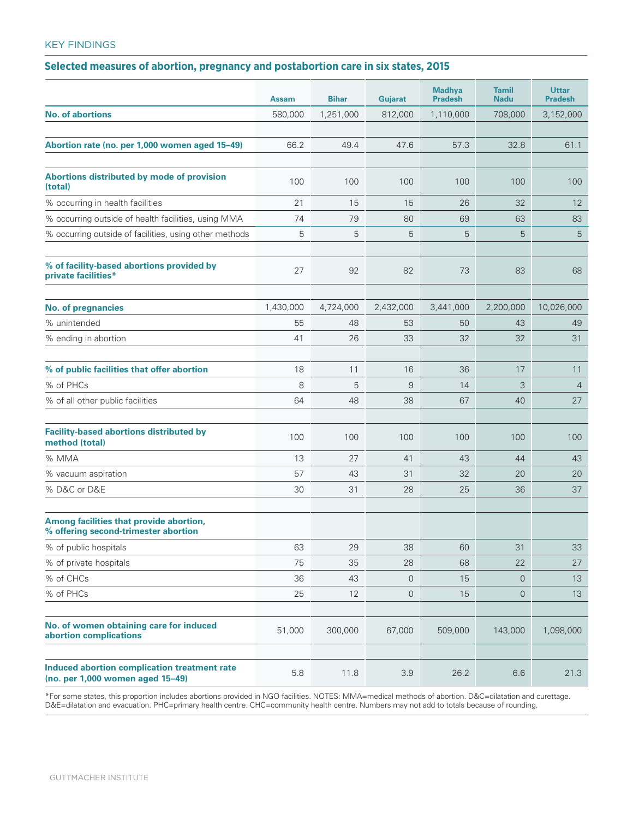## KEY FINDINGS

# **Selected measures of abortion, pregnancy and postabortion care in six states, 2015**

|                                                                                  | <b>Assam</b> | <b>Bihar</b> | Gujarat   | <b>Madhya</b><br><b>Pradesh</b> | <b>Tamil</b><br><b>Nadu</b> | <b>Uttar</b><br><b>Pradesh</b> |
|----------------------------------------------------------------------------------|--------------|--------------|-----------|---------------------------------|-----------------------------|--------------------------------|
| <b>No. of abortions</b>                                                          | 580,000      | 1,251,000    | 812,000   | 1,110,000                       | 708,000                     | 3,152,000                      |
|                                                                                  |              |              |           |                                 |                             |                                |
| Abortion rate (no. per 1,000 women aged 15-49)                                   | 66.2         | 49.4         | 47.6      | 57.3                            | 32.8                        | 61.1                           |
|                                                                                  |              |              |           |                                 |                             |                                |
| Abortions distributed by mode of provision<br>(total)                            | 100          | 100          | 100       | 100                             | 100                         | 100                            |
| % occurring in health facilities                                                 | 21           | 15           | 15        | 26                              | 32                          | 12                             |
| % occurring outside of health facilities, using MMA                              | 74           | 79           | 80        | 69                              | 63                          | 83                             |
| % occurring outside of facilities, using other methods                           | 5            | 5            | 5         | 5                               | 5                           | 5                              |
|                                                                                  |              |              |           |                                 |                             |                                |
| % of facility-based abortions provided by<br>private facilities*                 | 27           | 92           | 82        | 73                              | 83                          | 68                             |
| <b>No. of pregnancies</b>                                                        | 1,430,000    | 4,724,000    | 2,432,000 | 3,441,000                       | 2,200,000                   | 10,026,000                     |
| % unintended                                                                     | 55           | 48           | 53        | 50                              | 43                          | 49                             |
| % ending in abortion                                                             | 41           | 26           | 33        | 32                              | 32                          | 31                             |
|                                                                                  |              |              |           |                                 |                             |                                |
| % of public facilities that offer abortion                                       | 18           | 11           | 16        | 36                              | 17                          | 11                             |
| % of PHCs                                                                        | 8            | 5            | 9         | 14                              | 3                           | $\overline{4}$                 |
| % of all other public facilities                                                 | 64           | 48           | 38        | 67                              | 40                          | 27                             |
|                                                                                  |              |              |           |                                 |                             |                                |
| <b>Facility-based abortions distributed by</b><br>method (total)                 | 100          | 100          | 100       | 100                             | 100                         | 100                            |
| % MMA                                                                            | 13           | 27           | 41        | 43                              | 44                          | 43                             |
| % vacuum aspiration                                                              | 57           | 43           | 31        | 32                              | 20                          | 20                             |
| % D&C or D&E                                                                     | 30           | 31           | 28        | 25                              | 36                          | 37                             |
|                                                                                  |              |              |           |                                 |                             |                                |
| Among facilities that provide abortion,<br>% offering second-trimester abortion  |              |              |           |                                 |                             |                                |
| % of public hospitals                                                            | 63           | 29           | 38        | 60                              | 31                          | 33                             |
| % of private hospitals                                                           | 75           | 35           | 28        | 68                              | 22                          | 27                             |
| % of CHCs                                                                        | 36           | 43           | 0         | 15                              | $\mathbf 0$                 | 13                             |
| % of PHCs                                                                        | 25           | 12           | 0         | 15                              | $\mathbf 0$                 | 13                             |
|                                                                                  |              |              |           |                                 |                             |                                |
| No. of women obtaining care for induced<br>abortion complications                | 51,000       | 300,000      | 67,000    | 509,000                         | 143,000                     | 1,098,000                      |
|                                                                                  |              |              |           |                                 |                             |                                |
| Induced abortion complication treatment rate<br>(no. per 1,000 women aged 15-49) | 5.8          | 11.8         | 3.9       | 26.2                            | 6.6                         | 21.3                           |

\*For some states, this proportion includes abortions provided in NGO facilities. NOTES: MMA=medical methods of abortion. D&C=dilatation and curettage. D&E=dilatation and evacuation. PHC=primary health centre. CHC=community health centre. Numbers may not add to totals because of rounding.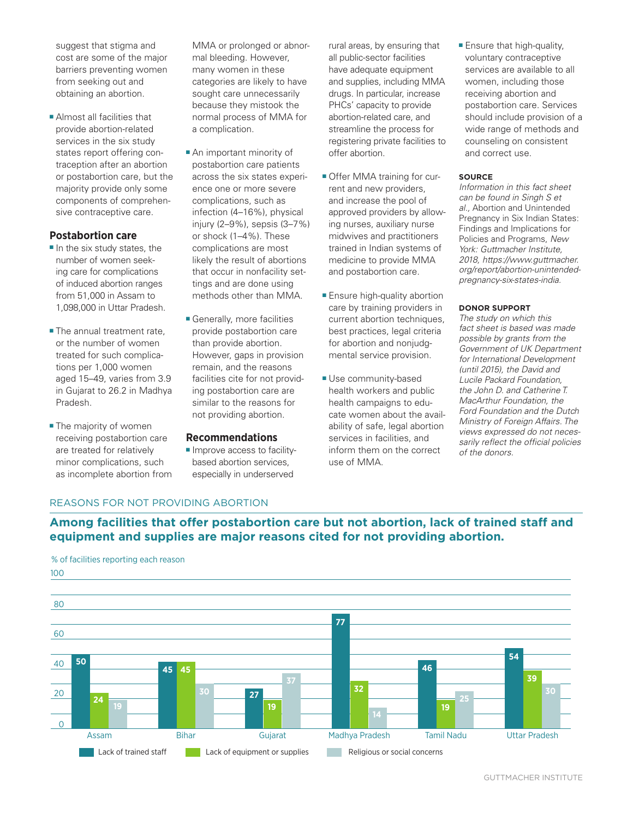suggest that stigma and cost are some of the major barriers preventing women from seeking out and obtaining an abortion.

■ Almost all facilities that provide abortion-related services in the six study states report offering contraception after an abortion or postabortion care, but the majority provide only some components of comprehensive contraceptive care.

#### **Postabortion care**

- In the six study states, the number of women seeking care for complications of induced abortion ranges from 51,000 in Assam to 1,098,000 in Uttar Pradesh.
- The annual treatment rate, or the number of women treated for such complications per 1,000 women aged 15–49, varies from 3.9 in Gujarat to 26.2 in Madhya Pradesh.
- The majority of women receiving postabortion care are treated for relatively minor complications, such as incomplete abortion from

MMA or prolonged or abnormal bleeding. However, many women in these categories are likely to have sought care unnecessarily because they mistook the normal process of MMA for a complication.

- An important minority of postabortion care patients across the six states experience one or more severe complications, such as infection (4–16%), physical injury (2–9%), sepsis (3–7%) or shock (1–4%). These complications are most likely the result of abortions that occur in nonfacility settings and are done using methods other than MMA.
- Generally, more facilities provide postabortion care than provide abortion. However, gaps in provision remain, and the reasons facilities cite for not providing postabortion care are similar to the reasons for not providing abortion.

#### **Recommendations**

■ Improve access to facilitybased abortion services, especially in underserved

rural areas, by ensuring that all public-sector facilities have adequate equipment and supplies, including MMA drugs. In particular, increase PHCs' capacity to provide abortion-related care, and streamline the process for registering private facilities to offer abortion.

- Offer MMA training for current and new providers, and increase the pool of approved providers by allowing nurses, auxiliary nurse midwives and practitioners trained in Indian systems of medicine to provide MMA and postabortion care.
- Ensure high-quality abortion care by training providers in current abortion techniques, best practices, legal criteria for abortion and nonjudgmental service provision.
- Use community-based health workers and public health campaigns to educate women about the availability of safe, legal abortion services in facilities, and inform them on the correct use of MMA.

■ Ensure that high-quality, voluntary contraceptive services are available to all women, including those receiving abortion and postabortion care. Services should include provision of a wide range of methods and counseling on consistent and correct use.

#### **SOURCE**

*Information in this fact sheet can be found in Singh S et al.,* Abortion and Unintended Pregnancy in Six Indian States: Findings and Implications for Policies and Programs, *New York: Guttmacher Institute, 2018, https://www.guttmacher. org/report/abortion-unintendedpregnancy-six-states-india.*

#### **DONOR SUPPORT**

*The study on which this fact sheet is based was made possible by grants from the Government of UK Department for International Development (until 2015), the David and Lucile Packard Foundation, the John D. and Catherine T. MacArthur Foundation, the Ford Foundation and the Dutch Ministry of Foreign Affairs. The views expressed do not necessarily reflect the official policies of the donors.*

### REASONS FOR NOT PROVIDING ABORTION

**Among facilities that offer postabortion care but not abortion, lack of trained staff and equipment and supplies are major reasons cited for not providing abortion.**